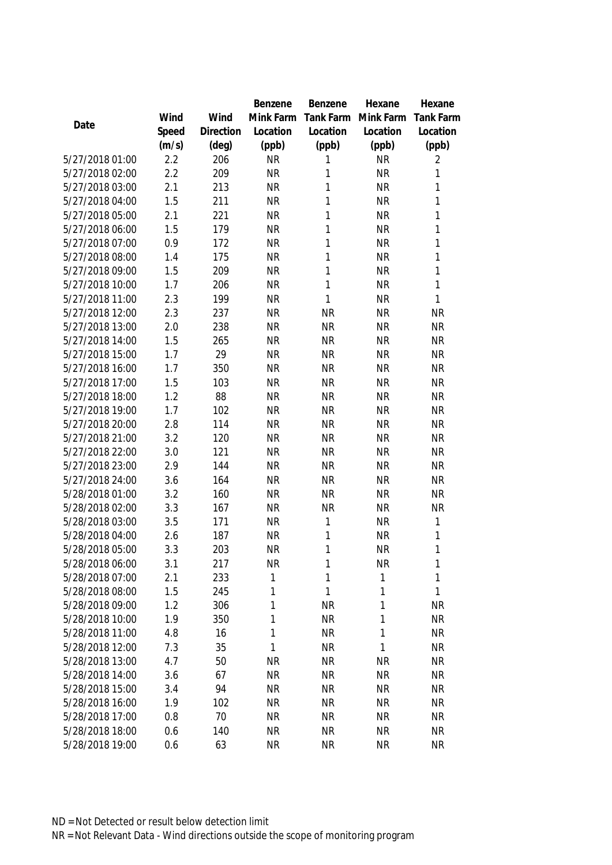|                                    |            |            | Benzene      | Benzene        | Hexane       | Hexane            |
|------------------------------------|------------|------------|--------------|----------------|--------------|-------------------|
|                                    | Wind       | Wind       | Mink Farm    | Tank Farm      | Mink Farm    | <b>Tank Farm</b>  |
| Date                               | Speed      | Direction  | Location     | Location       | Location     | Location          |
|                                    | (m/s)      | (deg)      | (ppb)        | (ppb)          | (ppb)        | (ppb)             |
| 5/27/2018 01:00                    | 2.2        | 206        | <b>NR</b>    | 1              | <b>NR</b>    | 2                 |
| 5/27/2018 02:00                    | 2.2        | 209        | <b>NR</b>    | 1              | <b>NR</b>    | 1                 |
| 5/27/2018 03:00                    | 2.1        | 213        | <b>NR</b>    | 1              | <b>NR</b>    | $\mathbf{1}$      |
| 5/27/2018 04:00                    | 1.5        | 211        | <b>NR</b>    | 1              | <b>NR</b>    | $\mathbf{1}$      |
| 5/27/2018 05:00                    | 2.1        | 221        | <b>NR</b>    | 1              | <b>NR</b>    | $\mathbf{1}$      |
| 5/27/2018 06:00                    | 1.5        | 179        | <b>NR</b>    | 1              | <b>NR</b>    | 1                 |
| 5/27/2018 07:00                    | 0.9        | 172        | <b>NR</b>    | 1              | <b>NR</b>    | 1                 |
| 5/27/2018 08:00                    | 1.4        | 175        | <b>NR</b>    | 1              | <b>NR</b>    | 1                 |
| 5/27/2018 09:00                    | 1.5        | 209        | <b>NR</b>    | 1              | <b>NR</b>    | $\mathbf{1}$      |
| 5/27/2018 10:00                    | 1.7        | 206        | <b>NR</b>    | 1              | <b>NR</b>    | 1                 |
| 5/27/2018 11:00                    | 2.3        | 199        | <b>NR</b>    | 1              | <b>NR</b>    | 1                 |
| 5/27/2018 12:00                    | 2.3        | 237        | <b>NR</b>    | <b>NR</b>      | <b>NR</b>    | <b>NR</b>         |
| 5/27/2018 13:00                    | 2.0        | 238        | <b>NR</b>    | <b>NR</b>      | <b>NR</b>    | <b>NR</b>         |
| 5/27/2018 14:00                    | 1.5        | 265        | <b>NR</b>    | <b>NR</b>      | <b>NR</b>    | <b>NR</b>         |
| 5/27/2018 15:00                    | 1.7        | 29         | <b>NR</b>    | <b>NR</b>      | <b>NR</b>    | <b>NR</b>         |
| 5/27/2018 16:00                    | 1.7        | 350        | <b>NR</b>    | <b>NR</b>      | <b>NR</b>    | <b>NR</b>         |
| 5/27/2018 17:00                    | 1.5        | 103        | <b>NR</b>    | <b>NR</b>      | <b>NR</b>    | <b>NR</b>         |
| 5/27/2018 18:00                    | 1.2        | 88         | <b>NR</b>    | <b>NR</b>      | <b>NR</b>    | <b>NR</b>         |
| 5/27/2018 19:00                    | 1.7        | 102        | <b>NR</b>    | <b>NR</b>      | <b>NR</b>    | <b>NR</b>         |
| 5/27/2018 20:00                    | 2.8        | 114        | <b>NR</b>    | <b>NR</b>      | <b>NR</b>    | <b>NR</b>         |
| 5/27/2018 21:00                    | 3.2        | 120        | <b>NR</b>    | <b>NR</b>      | <b>NR</b>    | <b>NR</b>         |
| 5/27/2018 22:00                    | 3.0        | 121        | <b>NR</b>    | <b>NR</b>      | <b>NR</b>    | <b>NR</b>         |
| 5/27/2018 23:00                    | 2.9        | 144        | <b>NR</b>    | <b>NR</b>      | <b>NR</b>    | <b>NR</b>         |
| 5/27/2018 24:00                    | 3.6        | 164        | <b>NR</b>    | <b>NR</b>      | <b>NR</b>    | <b>NR</b>         |
| 5/28/2018 01:00                    | 3.2        | 160        | <b>NR</b>    | <b>NR</b>      | <b>NR</b>    | <b>NR</b>         |
| 5/28/2018 02:00                    | 3.3        | 167        | <b>NR</b>    | <b>NR</b>      | <b>NR</b>    | <b>NR</b>         |
| 5/28/2018 03:00                    | 3.5        | 171        | <b>NR</b>    | 1              | <b>NR</b>    | $\mathbf{1}$      |
| 5/28/2018 04:00                    | 2.6        | 187        | <b>NR</b>    | 1              | <b>NR</b>    | $\mathbf{1}$      |
| 5/28/2018 05:00                    | 3.3        | 203        | <b>NR</b>    | 1              | <b>NR</b>    | 1                 |
| 5/28/2018 06:00                    | 3.1        | 217        | <b>NR</b>    | 1              | <b>NR</b>    | 1                 |
| 5/28/2018 07:00                    | 2.1        | 233        | 1            | 1              | 1            | 1<br>$\mathbf{1}$ |
| 5/28/2018 08:00<br>5/28/2018 09:00 | 1.5<br>1.2 | 245<br>306 | 1<br>1       | 1<br><b>NR</b> | 1<br>1       | <b>NR</b>         |
| 5/28/2018 10:00                    | 1.9        | 350        | $\mathbf{1}$ | <b>NR</b>      | 1            | <b>NR</b>         |
| 5/28/2018 11:00                    | 4.8        | 16         | $\mathbf{1}$ | <b>NR</b>      | 1            | <b>NR</b>         |
| 5/28/2018 12:00                    | 7.3        | 35         | 1            | <b>NR</b>      | $\mathbf{1}$ | <b>NR</b>         |
| 5/28/2018 13:00                    | 4.7        | 50         | <b>NR</b>    | <b>NR</b>      | <b>NR</b>    | <b>NR</b>         |
| 5/28/2018 14:00                    | 3.6        | 67         | <b>NR</b>    | <b>NR</b>      | <b>NR</b>    | <b>NR</b>         |
| 5/28/2018 15:00                    | 3.4        | 94         | <b>NR</b>    | <b>NR</b>      | <b>NR</b>    | <b>NR</b>         |
| 5/28/2018 16:00                    | 1.9        | 102        | <b>NR</b>    | <b>NR</b>      | <b>NR</b>    | <b>NR</b>         |
| 5/28/2018 17:00                    | 0.8        | 70         | <b>NR</b>    | <b>NR</b>      | <b>NR</b>    | <b>NR</b>         |
| 5/28/2018 18:00                    | 0.6        | 140        | <b>NR</b>    | <b>NR</b>      | <b>NR</b>    | <b>NR</b>         |
| 5/28/2018 19:00                    | 0.6        | 63         | <b>NR</b>    | <b>NR</b>      | <b>NR</b>    | <b>NR</b>         |
|                                    |            |            |              |                |              |                   |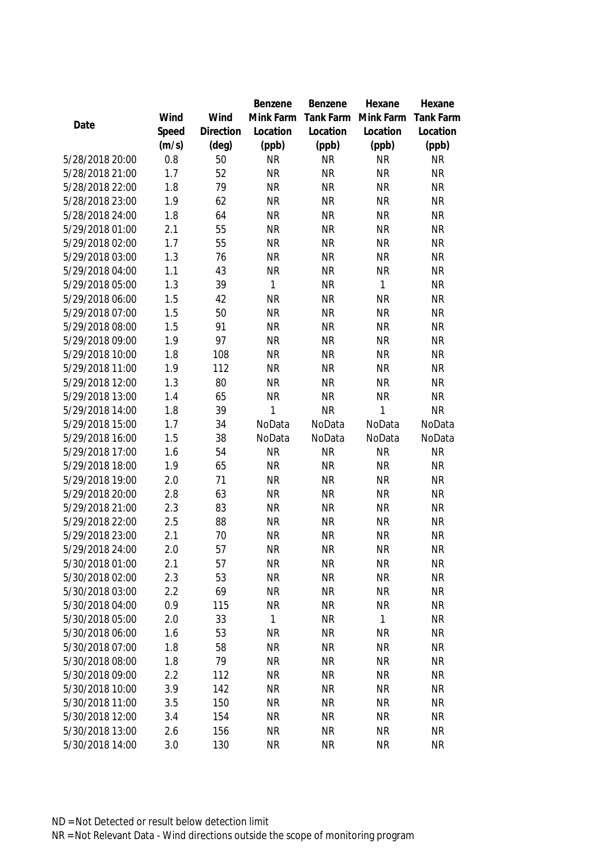|                                    |            |           | Benzene                | Benzene                | Hexane                 | Hexane                 |
|------------------------------------|------------|-----------|------------------------|------------------------|------------------------|------------------------|
|                                    | Wind       | Wind      | Mink Farm              | Tank Farm              | Mink Farm              | <b>Tank Farm</b>       |
| Date                               | Speed      | Direction | Location               | Location               | Location               | Location               |
|                                    | (m/s)      | (deg)     | (ppb)                  | (ppb)                  | (ppb)                  | (ppb)                  |
| 5/28/2018 20:00                    | 0.8        | 50        | <b>NR</b>              | <b>NR</b>              | <b>NR</b>              | <b>NR</b>              |
| 5/28/2018 21:00                    | 1.7        | 52        | <b>NR</b>              | <b>NR</b>              | <b>NR</b>              | <b>NR</b>              |
| 5/28/2018 22:00                    | 1.8        | 79        | <b>NR</b>              | <b>NR</b>              | <b>NR</b>              | <b>NR</b>              |
| 5/28/2018 23:00                    | 1.9        | 62        | <b>NR</b>              | <b>NR</b>              | <b>NR</b>              | <b>NR</b>              |
| 5/28/2018 24:00                    | 1.8        | 64        | <b>NR</b>              | <b>NR</b>              | <b>NR</b>              | <b>NR</b>              |
| 5/29/2018 01:00                    | 2.1        | 55        | <b>NR</b>              | <b>NR</b>              | <b>NR</b>              | <b>NR</b>              |
| 5/29/2018 02:00                    | 1.7        | 55        | <b>NR</b>              | <b>NR</b>              | <b>NR</b>              | <b>NR</b>              |
| 5/29/2018 03:00                    | 1.3        | 76        | <b>NR</b>              | <b>NR</b>              | <b>NR</b>              | <b>NR</b>              |
| 5/29/2018 04:00                    | 1.1        | 43        | <b>NR</b>              | <b>NR</b>              | <b>NR</b>              | <b>NR</b>              |
| 5/29/2018 05:00                    | 1.3        | 39        | 1                      | <b>NR</b>              | 1                      | <b>NR</b>              |
| 5/29/2018 06:00                    | 1.5        | 42        | <b>NR</b>              | <b>NR</b>              | <b>NR</b>              | <b>NR</b>              |
| 5/29/2018 07:00                    | 1.5        | 50        | <b>NR</b>              | <b>NR</b>              | <b>NR</b>              | <b>NR</b>              |
| 5/29/2018 08:00                    | 1.5        | 91        | <b>NR</b>              | <b>NR</b>              | <b>NR</b>              | <b>NR</b>              |
| 5/29/2018 09:00                    | 1.9        | 97        | <b>NR</b>              | <b>NR</b>              | <b>NR</b>              | <b>NR</b>              |
| 5/29/2018 10:00                    | 1.8        | 108       | <b>NR</b>              | <b>NR</b>              | <b>NR</b>              | <b>NR</b>              |
| 5/29/2018 11:00                    | 1.9        | 112       | <b>NR</b>              | <b>NR</b>              | <b>NR</b>              | <b>NR</b>              |
| 5/29/2018 12:00                    | 1.3        | 80        | <b>NR</b>              | <b>NR</b>              | <b>NR</b>              | <b>NR</b>              |
| 5/29/2018 13:00                    | 1.4        | 65        | <b>NR</b>              | <b>NR</b>              | <b>NR</b>              | <b>NR</b>              |
| 5/29/2018 14:00                    | 1.8        | 39        | 1                      | <b>NR</b>              | 1                      | <b>NR</b>              |
| 5/29/2018 15:00                    | 1.7        | 34        | NoData                 | NoData                 | NoData                 | NoData                 |
| 5/29/2018 16:00                    | 1.5        | 38        | NoData                 | NoData                 | NoData                 | NoData                 |
| 5/29/2018 17:00                    | 1.6        | 54        | <b>NR</b>              | <b>NR</b>              | <b>NR</b>              | <b>NR</b>              |
| 5/29/2018 18:00                    | 1.9        | 65        | <b>NR</b>              | <b>NR</b>              | <b>NR</b>              | <b>NR</b>              |
| 5/29/2018 19:00                    | 2.0        | 71        | <b>NR</b>              | <b>NR</b>              | <b>NR</b>              | <b>NR</b>              |
| 5/29/2018 20:00                    | 2.8        | 63        | <b>NR</b>              | <b>NR</b>              | <b>NR</b>              | <b>NR</b>              |
| 5/29/2018 21:00                    | 2.3        | 83        | <b>NR</b>              | <b>NR</b>              | <b>NR</b>              | <b>NR</b>              |
| 5/29/2018 22:00                    | 2.5        | 88        | <b>NR</b>              | <b>NR</b>              | <b>NR</b>              | <b>NR</b>              |
| 5/29/2018 23:00                    | 2.1        | 70        | <b>NR</b>              | <b>NR</b>              | <b>NR</b>              | <b>NR</b>              |
| 5/29/2018 24:00                    | 2.0        | 57        | <b>NR</b>              | <b>NR</b>              | <b>NR</b>              | <b>NR</b>              |
| 5/30/2018 01:00                    | 2.1        | 57        | <b>NR</b>              | <b>NR</b>              | <b>NR</b>              | <b>NR</b>              |
| 5/30/2018 02:00                    | 2.3        | 53        | <b>NR</b>              | <b>NR</b>              | <b>NR</b>              | <b>NR</b>              |
| 5/30/2018 03:00                    | 2.2        | 69        | <b>NR</b>              | <b>NR</b>              | <b>NR</b>              | <b>NR</b>              |
| 5/30/2018 04:00                    | 0.9        | 115       | <b>NR</b><br>1         | <b>NR</b>              | <b>NR</b><br>1         | <b>NR</b>              |
| 5/30/2018 05:00<br>5/30/2018 06:00 | 2.0<br>1.6 | 33        |                        | <b>NR</b>              |                        | <b>NR</b>              |
| 5/30/2018 07:00                    |            | 53<br>58  | <b>NR</b>              | <b>NR</b>              | <b>NR</b>              | <b>NR</b>              |
| 5/30/2018 08:00                    | 1.8<br>1.8 | 79        | <b>NR</b><br><b>NR</b> | <b>NR</b><br><b>NR</b> | <b>NR</b><br><b>NR</b> | <b>NR</b><br><b>NR</b> |
| 5/30/2018 09:00                    | 2.2        | 112       | <b>NR</b>              | <b>NR</b>              | <b>NR</b>              | <b>NR</b>              |
| 5/30/2018 10:00                    | 3.9        | 142       | <b>NR</b>              | <b>NR</b>              | <b>NR</b>              | <b>NR</b>              |
| 5/30/2018 11:00                    | 3.5        | 150       | <b>NR</b>              | <b>NR</b>              | <b>NR</b>              | <b>NR</b>              |
| 5/30/2018 12:00                    | 3.4        | 154       | <b>NR</b>              | <b>NR</b>              | <b>NR</b>              | <b>NR</b>              |
| 5/30/2018 13:00                    | 2.6        | 156       | <b>NR</b>              | <b>NR</b>              | <b>NR</b>              | <b>NR</b>              |
| 5/30/2018 14:00                    | 3.0        | 130       | <b>NR</b>              | <b>NR</b>              | <b>NR</b>              | <b>NR</b>              |
|                                    |            |           |                        |                        |                        |                        |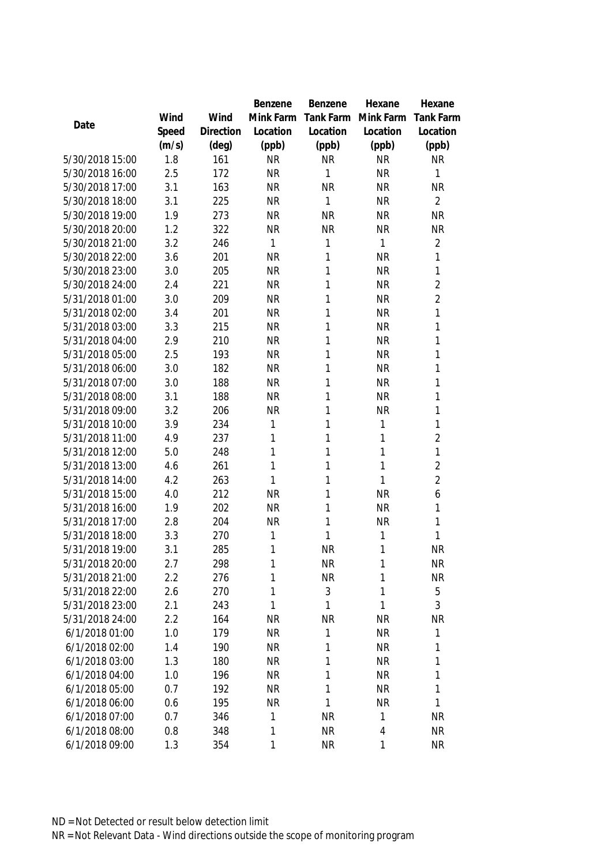|                                  |            |            | Benzene                | Benzene          | Hexane                 | Hexane            |
|----------------------------------|------------|------------|------------------------|------------------|------------------------|-------------------|
|                                  | Wind       | Wind       | Mink Farm              | Tank Farm        | Mink Farm              | <b>Tank Farm</b>  |
| Date                             | Speed      | Direction  | Location               | Location         | Location               | Location          |
|                                  | (m/s)      | (deg)      | (ppb)                  | (ppb)            | (ppb)                  | (ppb)             |
| 5/30/2018 15:00                  | 1.8        | 161        | <b>NR</b>              | <b>NR</b>        | <b>NR</b>              | <b>NR</b>         |
| 5/30/2018 16:00                  | 2.5        | 172        | <b>NR</b>              | 1                | <b>NR</b>              | 1                 |
| 5/30/2018 17:00                  | 3.1        | 163        | <b>NR</b>              | <b>NR</b>        | <b>NR</b>              | <b>NR</b>         |
| 5/30/2018 18:00                  | 3.1        | 225        | <b>NR</b>              | $\mathbf{1}$     | <b>NR</b>              | $\overline{2}$    |
| 5/30/2018 19:00                  | 1.9        | 273        | <b>NR</b>              | <b>NR</b>        | <b>NR</b>              | <b>NR</b>         |
| 5/30/2018 20:00                  | 1.2        | 322        | <b>NR</b>              | <b>NR</b>        | <b>NR</b>              | <b>NR</b>         |
| 5/30/2018 21:00                  | 3.2        | 246        | 1                      | $\mathbf 1$      | 1                      | $\overline{2}$    |
| 5/30/2018 22:00                  | 3.6        | 201        | <b>NR</b>              | 1                | <b>NR</b>              | 1                 |
| 5/30/2018 23:00                  | 3.0        | 205        | <b>NR</b>              | 1                | <b>NR</b>              | 1                 |
| 5/30/2018 24:00                  | 2.4        | 221        | <b>NR</b>              | 1                | <b>NR</b>              | $\overline{2}$    |
| 5/31/2018 01:00                  | 3.0        | 209        | <b>NR</b>              | 1                | <b>NR</b>              | $\overline{2}$    |
| 5/31/2018 02:00                  | 3.4        | 201        | <b>NR</b>              | 1                | <b>NR</b>              | 1                 |
| 5/31/2018 03:00                  | 3.3        | 215        | <b>NR</b>              | 1                | <b>NR</b>              | $\mathbf{1}$      |
| 5/31/2018 04:00                  | 2.9        | 210        | <b>NR</b>              | 1                | <b>NR</b>              | 1                 |
| 5/31/2018 05:00                  | 2.5        | 193        | <b>NR</b>              | 1                | <b>NR</b>              | 1                 |
| 5/31/2018 06:00                  | 3.0        | 182        | <b>NR</b>              | 1                | <b>NR</b>              | 1                 |
| 5/31/2018 07:00                  | 3.0        | 188        | <b>NR</b>              | 1                | <b>NR</b>              | 1                 |
| 5/31/2018 08:00                  | 3.1        | 188        | <b>NR</b>              | 1                | <b>NR</b>              | 1                 |
| 5/31/2018 09:00                  | 3.2        | 206        | <b>NR</b>              | 1                | <b>NR</b>              | 1                 |
| 5/31/2018 10:00                  | 3.9        | 234        | 1                      | 1                | 1                      | 1                 |
| 5/31/2018 11:00                  | 4.9        | 237        | 1                      | 1                | 1                      | $\overline{2}$    |
| 5/31/2018 12:00                  | 5.0        | 248        | 1                      | $\mathbf{1}$     | 1                      | 1                 |
| 5/31/2018 13:00                  | 4.6        | 261        | 1                      | 1                | 1                      | $\overline{2}$    |
| 5/31/2018 14:00                  | 4.2        | 263        | 1                      | 1                | 1                      | $\overline{2}$    |
| 5/31/2018 15:00                  | 4.0        | 212        | <b>NR</b>              | 1                | <b>NR</b>              | 6                 |
| 5/31/2018 16:00                  | 1.9        | 202        | <b>NR</b>              | $\mathbf{1}$     | <b>NR</b>              | 1                 |
| 5/31/2018 17:00                  | 2.8        | 204        | <b>NR</b>              | $\mathbf{1}$     | NR                     | 1                 |
| 5/31/2018 18:00                  | 3.3        | 270        | 1                      | $\mathbf{1}$     | 1                      | 1                 |
| 5/31/2018 19:00                  | 3.1        | 285        | 1                      | <b>NR</b>        | 1                      | <b>NR</b>         |
| 5/31/2018 20:00                  | 2.7        | 298        | 1                      | <b>NR</b>        | 1                      | <b>NR</b>         |
| 5/31/2018 21:00                  | 2.2        | 276        | 1                      | <b>NR</b>        | 1                      | <b>NR</b>         |
| 5/31/2018 22:00                  | 2.6        | 270        | 1                      | 3                | 1                      | 5                 |
| 5/31/2018 23:00                  | 2.1        | 243        | 1                      | 1                | 1                      | 3                 |
| 5/31/2018 24:00                  | 2.2        | 164        | <b>NR</b>              | <b>NR</b>        | <b>NR</b>              | <b>NR</b>         |
| 6/1/2018 01:00                   | 1.0        | 179        | <b>NR</b>              | 1                | <b>NR</b>              | 1<br>$\mathbf{1}$ |
| 6/1/2018 02:00<br>6/1/2018 03:00 | 1.4<br>1.3 | 190<br>180 | <b>NR</b><br><b>NR</b> | 1<br>$\mathbf 1$ | <b>NR</b><br><b>NR</b> | 1                 |
| 6/1/2018 04:00                   | 1.0        | 196        | <b>NR</b>              | 1                | <b>NR</b>              | 1                 |
| 6/1/2018 05:00                   | 0.7        |            | <b>NR</b>              | $\mathbf 1$      |                        | 1                 |
| 6/1/2018 06:00                   | 0.6        | 192<br>195 | <b>NR</b>              | $\mathbf{1}$     | <b>NR</b><br><b>NR</b> | $\mathbf{1}$      |
| 6/1/2018 07:00                   | 0.7        | 346        | 1                      | <b>NR</b>        | 1                      | <b>NR</b>         |
| 6/1/2018 08:00                   | 0.8        | 348        | 1                      | <b>NR</b>        |                        | <b>NR</b>         |
|                                  |            |            |                        |                  | 4                      |                   |
| 6/1/2018 09:00                   | 1.3        | 354        | 1                      | <b>NR</b>        | 1                      | <b>NR</b>         |